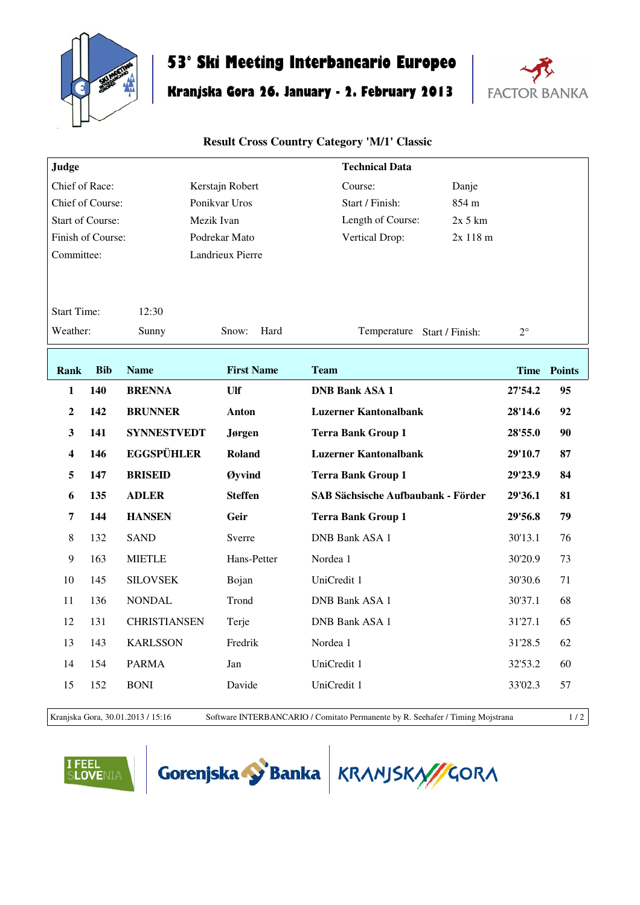

## **53° Ski Meeting Interbancario Europeo**

## **Kranjska Gora 26. January - 2. February 2013**



## **Result Cross Country Category 'M/1' Classic**

| Judge                   |                             |                     |                                              | <b>Technical Data</b>                     |             |             |
|-------------------------|-----------------------------|---------------------|----------------------------------------------|-------------------------------------------|-------------|-------------|
| Chief of Race:          |                             |                     | Kerstajn Robert                              | Course:<br>Danje                          |             |             |
| Chief of Course:        |                             |                     | Ponikvar Uros                                | 854 m<br>Start / Finish:                  |             |             |
| <b>Start of Course:</b> |                             |                     | Mezik Ivan                                   | Length of Course:<br>$2x$ 5 km            |             |             |
| Finish of Course:       |                             |                     | Podrekar Mato                                | Vertical Drop:<br>2x 118 m                |             |             |
| Committee:              |                             |                     | Landrieux Pierre                             |                                           |             |             |
|                         |                             |                     |                                              |                                           |             |             |
|                         | <b>Start Time:</b><br>12:30 |                     |                                              |                                           |             |             |
| Weather:                |                             | Sunny               | Hard<br>Snow:<br>Temperature Start / Finish: |                                           | $2^{\circ}$ |             |
|                         |                             |                     |                                              |                                           |             |             |
| Rank                    | <b>Bib</b>                  | <b>Name</b>         | <b>First Name</b>                            | <b>Team</b>                               |             | Time Points |
| $\mathbf{1}$            | 140                         | <b>BRENNA</b>       | Ulf                                          | <b>DNB Bank ASA 1</b>                     | 27'54.2     | 95          |
| $\overline{2}$          | 142                         | <b>BRUNNER</b>      | Anton                                        | <b>Luzerner Kantonalbank</b>              | 28'14.6     | 92          |
| $\mathbf{3}$            | 141                         | <b>SYNNESTVEDT</b>  | Jørgen                                       | <b>Terra Bank Group 1</b>                 | 28'55.0     | 90          |
| $\overline{\mathbf{4}}$ | 146                         | <b>EGGSPÜHLER</b>   | Roland                                       | <b>Luzerner Kantonalbank</b>              | 29'10.7     | 87          |
| 5                       | 147                         | <b>BRISEID</b>      | Øyvind                                       | <b>Terra Bank Group 1</b>                 | 29'23.9     | 84          |
| 6                       | 135                         | <b>ADLER</b>        | <b>Steffen</b>                               | <b>SAB Sächsische Aufbaubank - Förder</b> | 29'36.1     | 81          |
| 7                       | 144                         | <b>HANSEN</b>       | Geir                                         | <b>Terra Bank Group 1</b>                 | 29'56.8     | 79          |
| $\,8\,$                 | 132                         | <b>SAND</b>         | Sverre                                       | <b>DNB Bank ASA 1</b>                     | 30'13.1     | 76          |
| 9                       | 163                         | <b>MIETLE</b>       | Hans-Petter                                  | Nordea 1                                  | 30'20.9     | 73          |
| 10                      | 145                         | <b>SILOVSEK</b>     | Bojan                                        | UniCredit 1                               | 30'30.6     | 71          |
| 11                      | 136                         | <b>NONDAL</b>       | Trond                                        | DNB Bank ASA 1                            | 30'37.1     | 68          |
| 12                      | 131                         | <b>CHRISTIANSEN</b> | Terje                                        | <b>DNB Bank ASA 1</b>                     | 31'27.1     | 65          |
| 13                      | 143                         | <b>KARLSSON</b>     | Fredrik                                      | Nordea 1                                  | 31'28.5     | 62          |
| 14                      | 154                         | <b>PARMA</b>        | Jan                                          | UniCredit 1                               | 32'53.2     | 60          |
| 15                      | 152                         | <b>BONI</b>         | Davide                                       | UniCredit 1                               | 33'02.3     | 57          |
|                         |                             |                     |                                              |                                           |             |             |

Kranjska Gora, 30.01.2013 / 15:16 Software INTERBANCARIO / Comitato Permanente by R. Seehafer / Timing Mojstrana 1 / 2